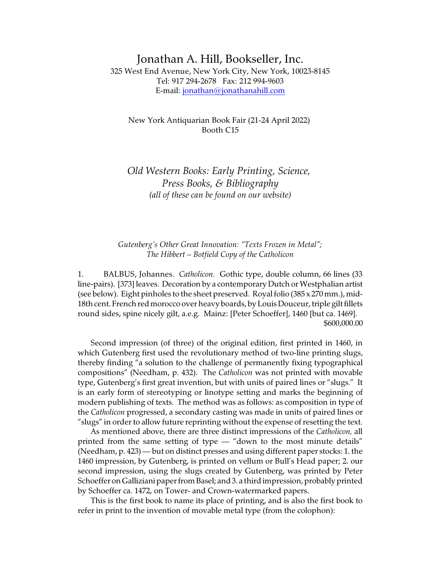# Jonathan A. Hill, Bookseller, Inc. 325 West End Avenue, New York City, New York, 10023-8145 Tel: 917 294-2678 Fax: 212 994-9603 E-mail: [jonathan@jonathanahill.com](mailto:jonathan@jonathanahill.com)

# New York Antiquarian Book Fair (21-24 April 2022) Booth C15

# *Old Western Books: Early Printing, Science, Press Books, & Bibliography (all of these can be found on our website)*

# *Gutenberg's Other Great Innovation: "Texts Frozen in Metal"; The Hibbert – Botfield Copy of the Catholicon*

1. BALBUS, Johannes. *Catholicon.* Gothic type, double column, 66 lines (33 line-pairs). [373] leaves. Decoration by a contemporary Dutch or Westphalian artist (see below). Eight pinholes to the sheet preserved. Royal folio (385 x 270 mm.), mid-18th cent. French red morocco over heavy boards, by Louis Douceur, triple gilt fillets round sides, spine nicely gilt, a.e.g. Mainz: [Peter Schoeffer], 1460 [but ca. 1469]. \$600,000.00

Second impression (of three) of the original edition, first printed in 1460, in which Gutenberg first used the revolutionary method of two-line printing slugs, thereby finding "a solution to the challenge of permanently fixing typographical compositions" (Needham, p. 432). The *Catholicon* was not printed with movable type, Gutenberg's first great invention, but with units of paired lines or "slugs." It is an early form of stereotyping or linotype setting and marks the beginning of modern publishing of texts. The method was as follows: as composition in type of the *Catholicon* progressed, a secondary casting was made in units of paired lines or "slugs" in order to allow future reprinting without the expense of resetting the text.

As mentioned above, there are three distinct impressions of the *Catholicon,* all printed from the same setting of type — "down to the most minute details" (Needham, p. 423) — but on distinct presses and using different paper stocks: 1. the 1460 impression, by Gutenberg, is printed on vellum or Bull's Head paper; 2. our second impression, using the slugs created by Gutenberg, was printed by Peter Schoeffer on Galliziani paper from Basel; and 3. a third impression, probably printed by Schoeffer ca. 1472, on Tower- and Crown-watermarked papers.

This is the first book to name its place of printing, and is also the first book to refer in print to the invention of movable metal type (from the colophon):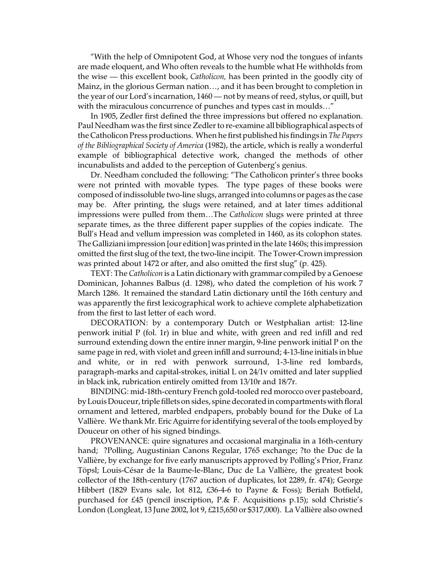"With the help of Omnipotent God, at Whose very nod the tongues of infants are made eloquent, and Who often reveals to the humble what He withholds from the wise — this excellent book, *Catholicon,* has been printed in the goodly city of Mainz, in the glorious German nation…, and it has been brought to completion in the year of our Lord's incarnation, 1460 — not by means of reed, stylus, or quill, but with the miraculous concurrence of punches and types cast in moulds..."

In 1905, Zedler first defined the three impressions but offered no explanation. Paul Needham was the first since Zedler to re-examine all bibliographical aspects of the Catholicon Press productions. When he first published his findings in *The Papers of the Bibliographical Society of America* (1982), the article, which is really a wonderful example of bibliographical detective work, changed the methods of other incunabulists and added to the perception of Gutenberg's genius.

Dr. Needham concluded the following: "The Catholicon printer's three books were not printed with movable types. The type pages of these books were composed of indissoluble two-line slugs, arranged into columns or pages as the case may be. After printing, the slugs were retained, and at later times additional impressions were pulled from them…The *Catholicon* slugs were printed at three separate times, as the three different paper supplies of the copies indicate. The Bull's Head and vellum impression was completed in 1460, as its colophon states. The Galliziani impression [our edition] was printed in the late 1460s; this impression omitted the first slug of the text, the two-line incipit. The Tower-Crown impression was printed about 1472 or after, and also omitted the first slug" (p. 425).

TEXT: The *Catholicon* is a Latin dictionary with grammar compiled by a Genoese Dominican, Johannes Balbus (d. 1298), who dated the completion of his work 7 March 1286. It remained the standard Latin dictionary until the 16th century and was apparently the first lexicographical work to achieve complete alphabetization from the first to last letter of each word.

DECORATION: by a contemporary Dutch or Westphalian artist: 12-line penwork initial P (fol. 1r) in blue and white, with green and red infill and red surround extending down the entire inner margin, 9-line penwork initial P on the same page in red, with violet and green infill and surround; 4-13-line initials in blue and white, or in red with penwork surround, 1-3-line red lombards, paragraph-marks and capital-strokes, initial L on 24/1v omitted and later supplied in black ink, rubrication entirely omitted from 13/10r and 18/7r.

BINDING: mid-18th-century French gold-tooled red morocco over pasteboard, by Louis Douceur, triple fillets on sides, spine decorated in compartments with floral ornament and lettered, marbled endpapers, probably bound for the Duke of La Vallière. We thank Mr. Eric Aguirre for identifying several of the tools employed by Douceur on other of his signed bindings.

PROVENANCE: quire signatures and occasional marginalia in a 16th-century hand; ?Polling, Augustinian Canons Regular, 1765 exchange; ?to the Duc de la Vallière, by exchange for five early manuscripts approved by Polling's Prior, Franz Töpsl; Louis-César de la Baume-le-Blanc, Duc de La Vallière, the greatest book collector of the 18th-century (1767 auction of duplicates, lot 2289, fr. 474); George Hibbert (1829 Evans sale, lot 812, £36-4-6 to Payne & Foss); Beriah Botfield, purchased for £45 (pencil inscription, P.& F. Acquisitions p.15); sold Christie's London (Longleat, 13 June 2002, lot 9, £215,650 or \$317,000). La Vallière also owned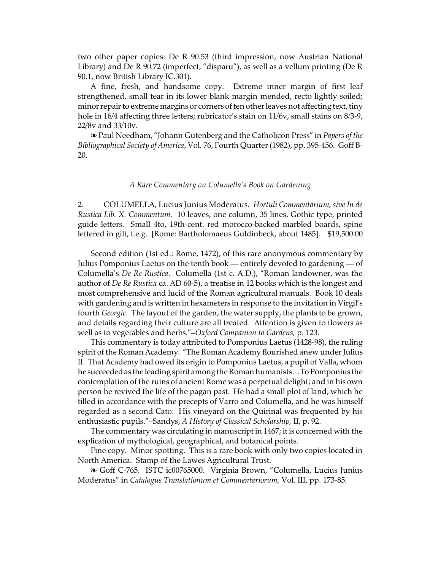two other paper copies: De R 90.53 (third impression, now Austrian National Library) and De R 90.72 (imperfect, "disparu"), as well as a vellum printing (De R 90.1, now British Library IC.301).

A fine, fresh, and handsome copy. Extreme inner margin of first leaf strengthened, small tear in its lower blank margin mended, recto lightly soiled; minor repair to extreme margins or corners of ten other leaves not affecting text, tiny hole in 16/4 affecting three letters; rubricator's stain on 11/6v, small stains on 8/3-9, 22/8v and 33/10v.

**EXET ALTA:** Paul Needham, "Johann Gutenberg and the Catholicon Press" in *Papers of the Bibliographical Society of America*, Vol. 76, Fourth Quarter (1982), pp. 395-456. Goff B-20.

## *A Rare Commentary on Columella's Book on Gardening*

2. COLUMELLA, Lucius Junius Moderatus. *Hortuli Commentarium, sive In de Rustica Lib. X. Commentum.* 10 leaves, one column, 35 lines, Gothic type, printed guide letters. Small 4to, 19th-cent. red morocco-backed marbled boards, spine lettered in gilt, t.e.g. [Rome: Bartholomaeus Guldinbeck, about 1485]. \$19,500.00

Second edition (1st ed.: Rome, 1472), of this rare anonymous commentary by Julius Pomponius Laetus on the tenth book — entirely devoted to gardening — of Columella's *De Re Rustica*. Columella (1st c. A.D.), "Roman landowner, was the author of *De Re Rustica* ca. AD 60-5), a treatise in 12 books which is the longest and most comprehensive and lucid of the Roman agricultural manuals. Book 10 deals with gardening and is written in hexameters in response to the invitation in Virgil's fourth *Georgic.* The layout of the garden, the water supply, the plants to be grown, and details regarding their culture are all treated. Attention is given to flowers as well as to vegetables and herbs."–*Oxford Companion to Gardens,* p. 123.

This commentary is today attributed to Pomponius Laetus (1428-98), the ruling spirit of the Roman Academy. "The Roman Academy flourished anew under Julius II. That Academy had owed its origin to Pomponius Laetus, a pupil of Valla, whom he succeeded as the leading spirit among the Roman humanists...To Pomponius the contemplation of the ruins of ancient Rome was a perpetual delight; and in his own person he revived the life of the pagan past. He had a small plot of land, which he tilled in accordance with the precepts of Varro and Columella, and he was himself regarded as a second Cato. His vineyard on the Quirinal was frequented by his enthusiastic pupils."–Sandys, *A History of Classical Scholarship,* II, p. 92.

The commentary was circulating in manuscript in 1467; it is concerned with the explication of mythological, geographical, and botanical points.

Fine copy. Minor spotting. This is a rare book with only two copies located in North America. Stamp of the Lawes Agricultural Trust.

**EXEC-765. ISTC ic00765000. Virginia Brown, "Columella, Lucius Junius** Moderatus" in *Catalogus Translationum et Commentariorum,* Vol. III, pp. 173-85.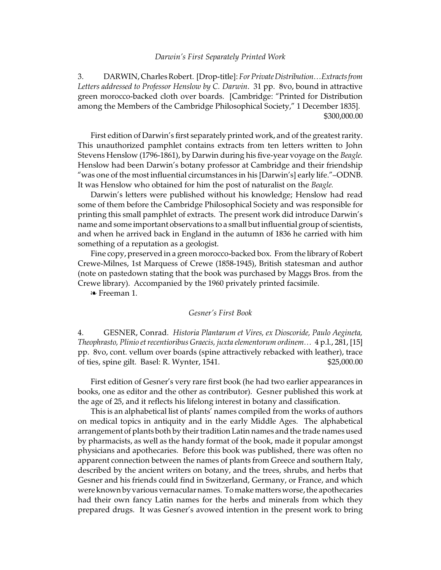#### *Darwin's First Separately Printed Work*

3. DARWIN, Charles Robert. [Drop-title]: *For PrivateDistribution…Extractsfrom Letters addressed to Professor Henslow by C. Darwin*. 31 pp. 8vo, bound in attractive green morocco-backed cloth over boards. [Cambridge: "Printed for Distribution among the Members of the Cambridge Philosophical Society," 1 December 1835]. \$300,000.00

First edition of Darwin's first separately printed work, and of the greatest rarity. This unauthorized pamphlet contains extracts from ten letters written to John Stevens Henslow (1796-1861), by Darwin during his five-year voyage on the *Beagle.* Henslow had been Darwin's botany professor at Cambridge and their friendship "was one of the most influential circumstances in his [Darwin's] early life."–ODNB. It was Henslow who obtained for him the post of naturalist on the *Beagle.*

Darwin's letters were published without his knowledge; Henslow had read some of them before the Cambridge Philosophical Society and was responsible for printing this small pamphlet of extracts. The present work did introduce Darwin's name and some important observations to a small but influential group of scientists, and when he arrived back in England in the autumn of 1836 he carried with him something of a reputation as a geologist.

Fine copy, preserved in a green morocco-backed box. From the library of Robert Crewe-Milnes, 1st Marquess of Crewe (1858-1945), British statesman and author (note on pastedown stating that the book was purchased by Maggs Bros. from the Crewe library). Accompanied by the 1960 privately printed facsimile.

**Example Freeman 1.** 

## *Gesner's First Book*

4. GESNER, Conrad. *Historia Plantarum et Vires, ex Dioscoride, Paulo Aegineta, Theophrasto, Plinio et recentioribus Graecis, juxta elementorum ordinem…* 4 p.l., 281, [15] pp. 8vo, cont. vellum over boards (spine attractively rebacked with leather), trace of ties, spine gilt. Basel: R. Wynter, 1541. \$25,000.00

First edition of Gesner's very rare first book (he had two earlier appearances in books, one as editor and the other as contributor). Gesner published this work at the age of 25, and it reflects his lifelong interest in botany and classification.

This is an alphabetical list of plants' names compiled from the works of authors on medical topics in antiquity and in the early Middle Ages. The alphabetical arrangement of plants both by their tradition Latin names and the trade names used by pharmacists, as well as the handy format of the book, made it popular amongst physicians and apothecaries. Before this book was published, there was often no apparent connection between the names of plants from Greece and southern Italy, described by the ancient writers on botany, and the trees, shrubs, and herbs that Gesner and his friends could find in Switzerland, Germany, or France, and which were known by various vernacular names. To make matters worse, the apothecaries had their own fancy Latin names for the herbs and minerals from which they prepared drugs. It was Gesner's avowed intention in the present work to bring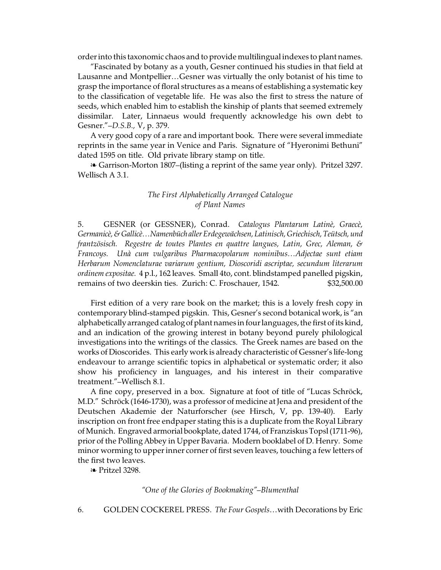order into this taxonomic chaos and to provide multilingual indexes to plant names.

"Fascinated by botany as a youth, Gesner continued his studies in that field at Lausanne and Montpellier…Gesner was virtually the only botanist of his time to grasp the importance of floral structures as a means of establishing a systematic key to the classification of vegetable life. He was also the first to stress the nature of seeds, which enabled him to establish the kinship of plants that seemed extremely dissimilar. Later, Linnaeus would frequently acknowledge his own debt to Gesner."–*D.S.B.,* V, p. 379.

A very good copy of a rare and important book. There were several immediate reprints in the same year in Venice and Paris. Signature of "Hyeronimi Bethuni" dated 1595 on title. Old private library stamp on title.

<sup>a</sup> Garrison-Morton 1807–(listing a reprint of the same year only). Pritzel 3297. Wellisch A 3.1.

# *The First Alphabetically Arranged Catalogue of Plant Names*

5. GESNER (or GESSNER), Conrad. *Catalogus Plantarum Latinè, Graecè, Germanicè,& Gallicè…Namenbüch aller Erdegewächsen, Latinisch, Griechisch, Teütsch,und frantzösisch. Regestre de toutes Plantes en quattre langues, Latin, Grec, Aleman, & Francoys. Unà cum vulgaribus Pharmacopolarum nominibus…Adjectae sunt etiam Herbarum Nomenclaturae variarum gentium, Dioscoridi ascriptae, secundum literarum ordinem expositae.* 4 p.l., 162 leaves. Small 4to, cont. blindstamped panelled pigskin, remains of two deerskin ties. Zurich: C. Froschauer, 1542. \$32,500.00

First edition of a very rare book on the market; this is a lovely fresh copy in contemporary blind-stamped pigskin. This, Gesner's second botanical work, is "an alphabetically arranged catalog of plant names in four languages, the first of its kind, and an indication of the growing interest in botany beyond purely philological investigations into the writings of the classics. The Greek names are based on the works of Dioscorides. This early work is already characteristic of Gessner's life-long endeavour to arrange scientific topics in alphabetical or systematic order; it also show his proficiency in languages, and his interest in their comparative treatment."–Wellisch 8.1.

A fine copy, preserved in a box. Signature at foot of title of "Lucas Schröck, M.D." Schröck (1646-1730), was a professor of medicine at Jena and president of the Deutschen Akademie der Naturforscher (see Hirsch, V, pp. 139-40). Early inscription on front free endpaper stating this is a duplicate from the Royal Library of Munich. Engraved armorial bookplate, dated 1744, of Franziskus Topsl (1711-96), prior of the Polling Abbey in Upper Bavaria. Modern booklabel of D. Henry. Some minor worming to upper inner corner of first seven leaves, touching a few letters of the first two leaves.

É Pritzel 3298.

### *"One of the Glories of Bookmaking"–Blumenthal*

6. GOLDEN COCKEREL PRESS. *The Four Gospels*…with Decorations by Eric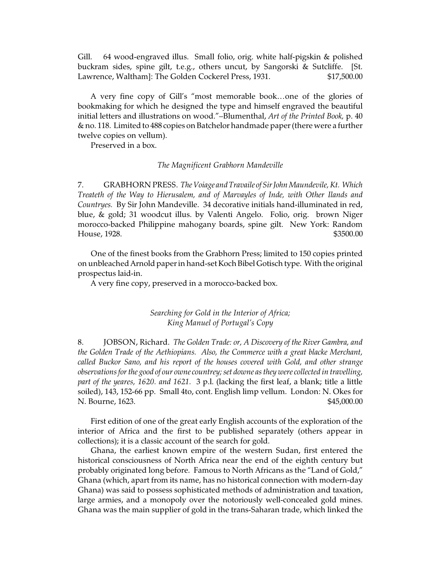Gill. 64 wood-engraved illus. Small folio, orig. white half-pigskin & polished buckram sides, spine gilt, t.e.g., others uncut, by Sangorski & Sutcliffe. [St. Lawrence, Waltham]: The Golden Cockerel Press, 1931. \$17,500.00

A very fine copy of Gill's "most memorable book…one of the glories of bookmaking for which he designed the type and himself engraved the beautiful initial letters and illustrations on wood."–Blumenthal, *Art of the Printed Book,* p. 40 & no. 118. Limited to 488 copies on Batchelor handmade paper (there were a further twelve copies on vellum).

Preserved in a box.

## *The Magnificent Grabhorn Mandeville*

7. GRABHORN PRESS. *The Voiage andTravaile of SirJohn Maundevile, Kt. Which Treateth of the Way to Hierusalem, and of Marvayles of Inde, with Other Ilands and Countryes.* By Sir John Mandeville. 34 decorative initials hand-illuminated in red, blue, & gold; 31 woodcut illus. by Valenti Angelo. Folio, orig. brown Niger morocco-backed Philippine mahogany boards, spine gilt. New York: Random House, 1928. \$3500.00

One of the finest books from the Grabhorn Press; limited to 150 copies printed on unbleached Arnold paper in hand-set Koch Bibel Gotisch type. With the original prospectus laid-in.

A very fine copy, preserved in a morocco-backed box.

# *Searching for Gold in the Interior of Africa; King Manuel of Portugal's Copy*

8. JOBSON, Richard. *The Golden Trade: or, A Discovery of the River Gambra, and the Golden Trade of the Aethiopians. Also, the Commerce with a great blacke Merchant, called Buckor Sano, and his report of the houses covered with Gold, and other strange observations for the good of our owne countrey; set downe as they were collected in travelling, part of the yeares, 1620. and 1621.* 3 p.l. (lacking the first leaf, a blank; title a little soiled), 143, 152-66 pp. Small 4to, cont. English limp vellum. London: N. Okes for N. Bourne, 1623. \$45,000.00

First edition of one of the great early English accounts of the exploration of the interior of Africa and the first to be published separately (others appear in collections); it is a classic account of the search for gold.

Ghana, the earliest known empire of the western Sudan, first entered the historical consciousness of North Africa near the end of the eighth century but probably originated long before. Famous to North Africans as the "Land of Gold," Ghana (which, apart from its name, has no historical connection with modern-day Ghana) was said to possess sophisticated methods of administration and taxation, large armies, and a monopoly over the notoriously well-concealed gold mines. Ghana was the main supplier of gold in the trans-Saharan trade, which linked the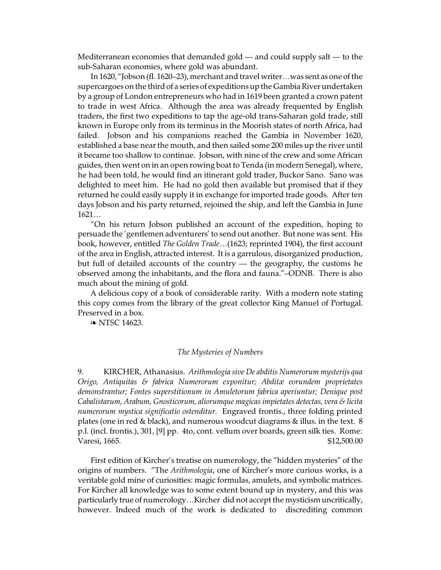Mediterranean economies that demanded gold — and could supply salt — to the sub-Saharan economies, where gold was abundant.

In 1620, "Jobson (fl. 1620–23), merchant and travel writer…was sent as one of the supercargoes on the third of a series of expeditions up the Gambia River undertaken by a group of London entrepreneurs who had in 1619 been granted a crown patent to trade in west Africa. Although the area was already frequented by English traders, the first two expeditions to tap the age-old trans-Saharan gold trade, still known in Europe only from its terminus in the Moorish states of north Africa, had failed. Jobson and his companions reached the Gambia in November 1620, established a base near the mouth, and then sailed some 200 miles up the river until it became too shallow to continue. Jobson, with nine of the crew and some African guides, then went on in an open rowing boat to Tenda (in modern Senegal), where, he had been told, he would find an itinerant gold trader, Buckor Sano. Sano was delighted to meet him. He had no gold then available but promised that if they returned he could easily supply it in exchange for imported trade goods. After ten days Jobson and his party returned, rejoined the ship, and left the Gambia in June 1621…

"On his return Jobson published an account of the expedition, hoping to persuade the 'gentlemen adventurers' to send out another. But none was sent. His book, however, entitled *The Golden Trade*…(1623; reprinted 1904), the first account of the area in English, attracted interest. It is a garrulous, disorganized production, but full of detailed accounts of the country — the geography, the customs he observed among the inhabitants, and the flora and fauna."–ODNB. There is also much about the mining of gold.

A delicious copy of a book of considerable rarity. With a modern note stating this copy comes from the library of the great collector King Manuel of Portugal. Preserved in a box.

**a** NTSC 14623.

## *The Mysteries of Numbers*

9. KIRCHER, Athanasius. *Arithmologia sive De abditis Numerorum mysterijs qua Origo, Antiquitas & fabrica Numerorum exponitur; Abditæ eorundem proprietates demonstrantur; Fontes superstitionum in Amuletorum fabrica aperiuntur; Denique post Cabalistarum, Arabum, Gnosticorum, aliorumque magicas impietates detectas, vera & licita numerorum mystica significatio ostenditur.* Engraved frontis., three folding printed plates (one in red & black), and numerous woodcut diagrams & illus. in the text. 8 p.l. (incl. frontis.), 301, [9] pp. 4to, cont. vellum over boards, green silk ties. Rome: Varesi, 1665. \$12,500.00

First edition of Kircher's treatise on numerology, the "hidden mysteries" of the origins of numbers. "The *Arithmologia*, one of Kircher's more curious works, is a veritable gold mine of curiosities: magic formulas, amulets, and symbolic matrices. For Kircher all knowledge was to some extent bound up in mystery, and this was particularly true of numerology…Kircher did not accept the mysticism uncritically, however. Indeed much of the work is dedicated to discrediting common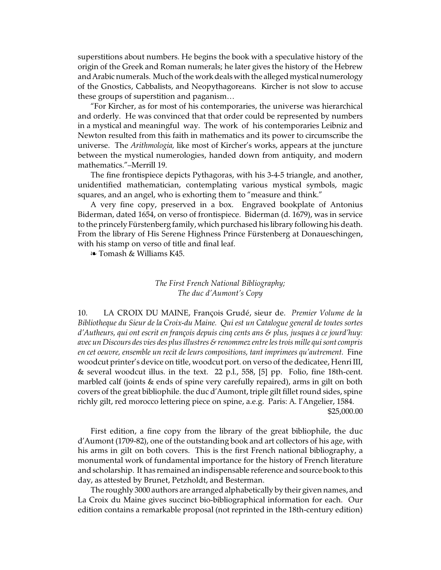superstitions about numbers. He begins the book with a speculative history of the origin of the Greek and Roman numerals; he later gives the history of the Hebrew and Arabic numerals. Much of the work deals with the alleged mystical numerology of the Gnostics, Cabbalists, and Neopythagoreans. Kircher is not slow to accuse these groups of superstition and paganism…

"For Kircher, as for most of his contemporaries, the universe was hierarchical and orderly. He was convinced that that order could be represented by numbers in a mystical and meaningful way. The work of his contemporaries Leibniz and Newton resulted from this faith in mathematics and its power to circumscribe the universe. The *Arithmologia,* like most of Kircher's works, appears at the juncture between the mystical numerologies, handed down from antiquity, and modern mathematics."–Merrill 19.

The fine frontispiece depicts Pythagoras, with his 3-4-5 triangle, and another, unidentified mathematician, contemplating various mystical symbols, magic squares, and an angel, who is exhorting them to "measure and think."

A very fine copy, preserved in a box. Engraved bookplate of Antonius Biderman, dated 1654, on verso of frontispiece. Biderman (d. 1679), was in service to the princely Fürstenberg family, which purchased his library following his death. From the library of His Serene Highness Prince Fürstenberg at Donaueschingen, with his stamp on verso of title and final leaf.

**a** Tomash & Williams K45.

# *The First French National Bibliography; The duc d'Aumont's Copy*

10. LA CROIX DU MAINE, François Grudé, sieur de. *Premier Volume de la Bibliotheque du Sieur de la Croix-du Maine. Qui est un Catalogue general de toutes sortes d'Autheurs, qui ont escrit en françois depuis cinq cents ans & plus, jusques à ce jourd'huy: avec un Discours des vies des plus illustres & renommez entre les trois mille quisontcompris en cet oeuvre, ensemble un recit de leurs compositions, tant imprimees qu'autrement.* Fine woodcut printer's device on title, woodcut port. on verso of the dedicatee, Henri III, & several woodcut illus. in the text. 22 p.l., 558, [5] pp. Folio, fine 18th-cent. marbled calf (joints & ends of spine very carefully repaired), arms in gilt on both covers of the great bibliophile. the duc d'Aumont, triple gilt fillet round sides, spine richly gilt, red morocco lettering piece on spine, a.e.g. Paris: A. l'Angelier, 1584. \$25,000.00

First edition, a fine copy from the library of the great bibliophile, the duc d'Aumont (1709-82), one of the outstanding book and art collectors of his age, with his arms in gilt on both covers. This is the first French national bibliography, a monumental work of fundamental importance for the history of French literature and scholarship. It has remained an indispensable reference and source book to this day, as attested by Brunet, Petzholdt, and Besterman.

The roughly 3000 authors are arranged alphabetically by their given names, and La Croix du Maine gives succinct bio-bibliographical information for each. Our edition contains a remarkable proposal (not reprinted in the 18th-century edition)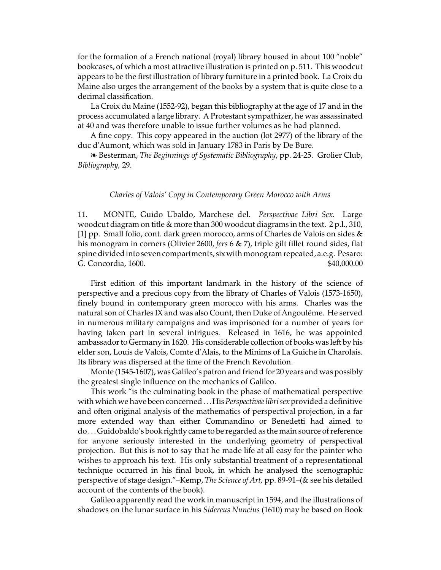for the formation of a French national (royal) library housed in about 100 "noble" bookcases, of which a most attractive illustration is printed on p. 511. This woodcut appears to be the first illustration of library furniture in a printed book. La Croix du Maine also urges the arrangement of the books by a system that is quite close to a decimal classification.

La Croix du Maine (1552-92), began this bibliography at the age of 17 and in the process accumulated a large library. A Protestant sympathizer, he was assassinated at 40 and was therefore unable to issue further volumes as he had planned.

A fine copy. This copy appeared in the auction (lot 2977) of the library of the duc d'Aumont, which was sold in January 1783 in Paris by De Bure.

É Besterman, *The Beginnings of Systematic Bibliography*, pp. 24-25. Grolier Club, *Bibliography,* 29.

## *Charles of Valois' Copy in Contemporary Green Morocco with Arms*

11. MONTE, Guido Ubaldo, Marchese del. *Perspectivae Libri Sex.* Large woodcut diagram on title & more than 300 woodcut diagrams in the text. 2 p.l., 310, [1] pp. Small folio, cont. dark green morocco, arms of Charles de Valois on sides & his monogram in corners (Olivier 2600, *fers* 6 & 7), triple gilt fillet round sides, flat spine divided into seven compartments, six with monogram repeated, a.e.g. Pesaro: G. Concordia, 1600. \$40,000.00

First edition of this important landmark in the history of the science of perspective and a precious copy from the library of Charles of Valois (1573-1650), finely bound in contemporary green morocco with his arms. Charles was the natural son of Charles IX and was also Count, then Duke of Angouléme. He served in numerous military campaigns and was imprisoned for a number of years for having taken part in several intrigues. Released in 1616, he was appointed ambassador to Germany in 1620. His considerable collection of books was left by his elder son, Louis de Valois, Comte d'Alais, to the Minims of La Guiche in Charolais. Its library was dispersed at the time of the French Revolution.

Monte (1545-1607), was Galileo's patron and friend for 20 years and was possibly the greatest single influence on the mechanics of Galileo.

This work "is the culminating book in the phase of mathematical perspective with which we have been concerned. . .His *Perspectivae librisex*provideda definitive and often original analysis of the mathematics of perspectival projection, in a far more extended way than either Commandino or Benedetti had aimed to do. . .Guidobaldo's book rightly came to be regarded as the main source of reference for anyone seriously interested in the underlying geometry of perspectival projection. But this is not to say that he made life at all easy for the painter who wishes to approach his text. His only substantial treatment of a representational technique occurred in his final book, in which he analysed the scenographic perspective of stage design."–Kemp, *The Science of Art,* pp. 89-91–(& see his detailed account of the contents of the book).

Galileo apparently read the work in manuscript in 1594, and the illustrations of shadows on the lunar surface in his *Sidereus Nuncius* (1610) may be based on Book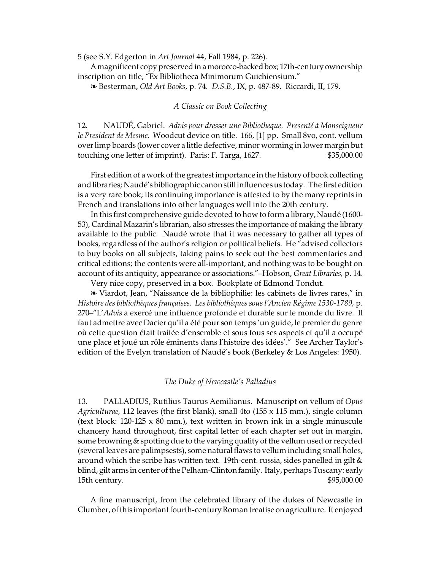5 (see S.Y. Edgerton in *Art Journal* 44, Fall 1984, p. 226).

A magnificent copy preserved in a morocco-backed box; 17th-century ownership inscription on title, "Ex Bibliotheca Minimorum Guichiensium."

É Besterman, *Old Art Books*, p. 74. *D.S.B.*, IX, p. 487-89. Riccardi, II, 179.

## *A Classic on Book Collecting*

12. NAUDÉ, Gabriel. *Advis pour dresser une Bibliotheque. Presenté à Monseigneur le President de Mesme.* Woodcut device on title. 166, [1] pp. Small 8vo, cont. vellum over limp boards (lower cover a little defective, minor worming in lower margin but touching one letter of imprint). Paris: F. Targa, 1627. \$35,000.00

First edition of a work of the greatest importance in the history of book collecting and libraries; Naudé's bibliographic canonstill influences us today. The first edition is a very rare book; its continuing importance is attested to by the many reprints in French and translations into other languages well into the 20th century.

In this first comprehensive guide devoted to how to form a library, Naudé (1600- 53), Cardinal Mazarin's librarian, also stresses the importance of making the library available to the public. Naudé wrote that it was necessary to gather all types of books, regardless of the author's religion or political beliefs. He "advised collectors to buy books on all subjects, taking pains to seek out the best commentaries and critical editions; the contents were all-important, and nothing was to be bought on account of its antiquity, appearance or associations."–Hobson, *Great Libraries,* p. 14.

Very nice copy, preserved in a box. Bookplate of Edmond Tondut.

<sup>a</sup> Viardot, Jean, "Naissance de la bibliophilie: les cabinets de livres rares," in *Histoire des bibliothèques françaises. Les bibliothèques sous l'Ancien Régime 1530-1789,* p. 270–"L'*Advis* a exercé une influence profonde et durable sur le monde du livre. Il faut admettre avec Dacier qu'il a été pour son temps 'un guide, le premier du genre où cette question était traitée d'ensemble et sous tous ses aspects et qu'il a occupé une place et joué un rôle éminents dans l'histoire des idées'." See Archer Taylor's edition of the Evelyn translation of Naudé's book (Berkeley & Los Angeles: 1950).

#### *The Duke of Newcastle's Palladius*

13. PALLADIUS, Rutilius Taurus Aemilianus. Manuscript on vellum of *Opus Agriculturae,* 112 leaves (the first blank), small 4to (155 x 115 mm.), single column (text block:  $120-125 \times 80$  mm.), text written in brown ink in a single minuscule chancery hand throughout, first capital letter of each chapter set out in margin, some browning & spotting due to the varying quality of the vellum used or recycled (several leaves are palimpsests), some natural flaws to vellum including small holes, around which the scribe has written text. 19th-cent. russia, sides panelled in gilt  $\&$ blind, gilt arms in center of the Pelham-Clinton family. Italy, perhaps Tuscany: early 15th century.  $$95,000.00$ 

A fine manuscript, from the celebrated library of the dukes of Newcastle in Clumber, of this important fourth-century Romantreatise onagriculture. It enjoyed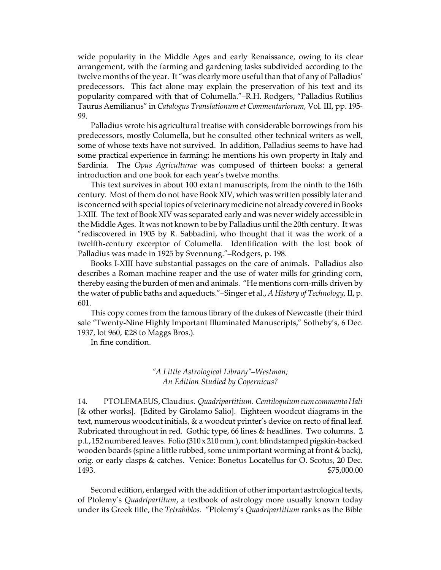wide popularity in the Middle Ages and early Renaissance, owing to its clear arrangement, with the farming and gardening tasks subdivided according to the twelve months of the year. It "was clearly more useful than that of any of Palladius' predecessors. This fact alone may explain the preservation of his text and its popularity compared with that of Columella."–R.H. Rodgers, "Palladius Rutilius Taurus Aemilianus" in *Catalogus Translationum et Commentariorum,* Vol. III, pp. 195- 99.

Palladius wrote his agricultural treatise with considerable borrowings from his predecessors, mostly Columella, but he consulted other technical writers as well, some of whose texts have not survived. In addition, Palladius seems to have had some practical experience in farming; he mentions his own property in Italy and Sardinia. The *Opus Agriculturae* was composed of thirteen books: a general introduction and one book for each year's twelve months.

This text survives in about 100 extant manuscripts, from the ninth to the 16th century. Most of them do not have Book XIV, which was written possibly later and is concerned with special topics of veterinary medicine not already covered in Books I-XIII. The text of Book XIV was separated early and was never widely accessible in the Middle Ages. It was not known to be by Palladius until the 20th century. It was "rediscovered in 1905 by R. Sabbadini, who thought that it was the work of a twelfth-century excerptor of Columella. Identification with the lost book of Palladius was made in 1925 by Svennung."–Rodgers, p. 198.

Books I-XIII have substantial passages on the care of animals. Palladius also describes a Roman machine reaper and the use of water mills for grinding corn, thereby easing the burden of men and animals. "He mentions corn-mills driven by the water of public baths and aqueducts."–Singer et al., *A History of Technology,* II, p. 601.

This copy comes from the famous library of the dukes of Newcastle (their third sale "Twenty-Nine Highly Important Illuminated Manuscripts," Sotheby's, 6 Dec. 1937, lot 960, ₤28 to Maggs Bros.).

In fine condition.

*"A Little Astrological Library"–Westman; An Edition Studied by Copernicus?*

14. PTOLEMAEUS, Claudius. *Quadripartitium. Centiloquiumcum commento Hali* [& other works]. [Edited by Girolamo Salio]. Eighteen woodcut diagrams in the text, numerous woodcut initials, & a woodcut printer's device on recto of final leaf. Rubricated throughout in red. Gothic type, 66 lines & headlines. Two columns. 2 p.l., 152 numbered leaves. Folio (310 x 210 mm.), cont. blindstamped pigskin-backed wooden boards (spine a little rubbed, some unimportant worming at front & back), orig. or early clasps & catches. Venice: Bonetus Locatellus for O. Scotus, 20 Dec. 1493. \$75,000.00

Second edition, enlarged with the addition of other important astrological texts, of Ptolemy's *Quadripartitum*, a textbook of astrology more usually known today under its Greek title, the *Tetrabiblos.* "Ptolemy's *Quadripartitium* ranks as the Bible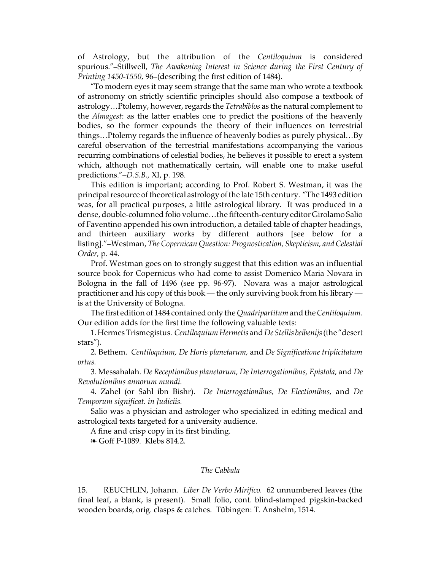of Astrology, but the attribution of the *Centiloquium* is considered spurious."–Stillwell, *The Awakening Interest in Science during the First Century of Printing 1450-1550,* 96–(describing the first edition of 1484).

"To modern eyes it may seem strange that the same man who wrote a textbook of astronomy on strictly scientific principles should also compose a textbook of astrology…Ptolemy, however, regards the *Tetrabiblos* as the natural complement to the *Almagest*: as the latter enables one to predict the positions of the heavenly bodies, so the former expounds the theory of their influences on terrestrial things…Ptolemy regards the influence of heavenly bodies as purely physical…By careful observation of the terrestrial manifestations accompanying the various recurring combinations of celestial bodies, he believes it possible to erect a system which, although not mathematically certain, will enable one to make useful predictions."–*D.S.B.,* XI, p. 198.

This edition is important; according to Prof. Robert S. Westman, it was the principal resource of theoretical astrology of the late 15th century. "The 1493 edition was, for all practical purposes, a little astrological library. It was produced in a dense, double-columned folio volume…the fifteenth-century editor Girolamo Salio of Faventino appended his own introduction, a detailed table of chapter headings, and thirteen auxiliary works by different authors [see below for a listing]."–Westman, *The Copernican Question: Prognostication, Skepticism, and Celestial Order,* p. 44.

Prof. Westman goes on to strongly suggest that this edition was an influential source book for Copernicus who had come to assist Domenico Maria Novara in Bologna in the fall of 1496 (see pp. 96-97). Novara was a major astrological practitioner and his copy of this book — the only surviving book from his library is at the University of Bologna.

The first edition of 1484 contained only the *Quadripartitum* and the *Centiloquium.* Our edition adds for the first time the following valuable texts:

1.Hermes Trismegistus. *CentiloquiumHermetis* and*De Stellis beibenijs*(the "desert stars").

2. Bethem. *Centiloquium, De Horis planetarum,* and *De Significatione triplicitatum ortus.*

3. Messahalah. *De Receptionibus planetarum, De Interrogationibus, Epistola,* and *De Revolutionibus annorum mundi.*

4. Zahel (or Sahl ibn Bishr). *De Interrogationibus, De Electionibus,* and *De Temporum significat. in Judiciis.*

Salio was a physician and astrologer who specialized in editing medical and astrological texts targeted for a university audience.

A fine and crisp copy in its first binding.

 $\in$  Goff P-1089. Klebs 814.2.

### *The Cabbala*

15. REUCHLIN, Johann. *Liber De Verbo Mirifico.* 62 unnumbered leaves (the final leaf, a blank, is present). Small folio, cont. blind-stamped pigskin-backed wooden boards, orig. clasps & catches. Tübingen: T. Anshelm, 1514.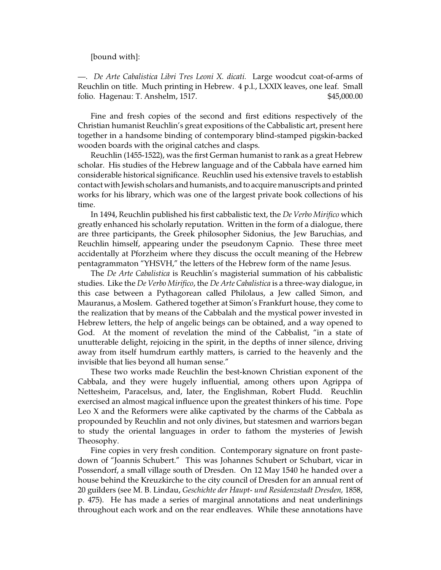### [bound with]:

—. *De Arte Cabalistica Libri Tres Leoni X. dicati.* Large woodcut coat-of-arms of Reuchlin on title. Much printing in Hebrew. 4 p.l., LXXIX leaves, one leaf. Small folio. Hagenau: T. Anshelm, 1517. \$45,000.00

Fine and fresh copies of the second and first editions respectively of the Christian humanist Reuchlin's great expositions of the Cabbalistic art, present here together in a handsome binding of contemporary blind-stamped pigskin-backed wooden boards with the original catches and clasps.

Reuchlin (1455-1522), was the first German humanist to rank as a great Hebrew scholar. His studies of the Hebrew language and of the Cabbala have earned him considerable historical significance. Reuchlin used his extensive travels to establish contact with Jewish scholars and humanists, and to acquire manuscripts and printed works for his library, which was one of the largest private book collections of his time.

In 1494, Reuchlin published his first cabbalistic text, the *De Verbo Mirifico* which greatly enhanced his scholarly reputation. Written in the form of a dialogue, there are three participants, the Greek philosopher Sidonius, the Jew Baruchias, and Reuchlin himself, appearing under the pseudonym Capnio. These three meet accidentally at Pforzheim where they discuss the occult meaning of the Hebrew pentagrammaton "YHSVH," the letters of the Hebrew form of the name Jesus.

The *De Arte Cabalistica* is Reuchlin's magisterial summation of his cabbalistic studies. Like the *De Verbo Mirifico*, the *De Arte Cabalistica* is a three-way dialogue, in this case between a Pythagorean called Philolaus, a Jew called Simon, and Mauranus, a Moslem. Gathered together at Simon's Frankfurt house, they come to the realization that by means of the Cabbalah and the mystical power invested in Hebrew letters, the help of angelic beings can be obtained, and a way opened to God. At the moment of revelation the mind of the Cabbalist, "in a state of unutterable delight, rejoicing in the spirit, in the depths of inner silence, driving away from itself humdrum earthly matters, is carried to the heavenly and the invisible that lies beyond all human sense."

These two works made Reuchlin the best-known Christian exponent of the Cabbala, and they were hugely influential, among others upon Agrippa of Nettesheim, Paracelsus, and, later, the Englishman, Robert Fludd. Reuchlin exercised an almost magical influence upon the greatest thinkers of his time. Pope Leo X and the Reformers were alike captivated by the charms of the Cabbala as propounded by Reuchlin and not only divines, but statesmen and warriors began to study the oriental languages in order to fathom the mysteries of Jewish Theosophy.

Fine copies in very fresh condition. Contemporary signature on front pastedown of "Joannis Schubert." This was Johannes Schubert or Schubart, vicar in Possendorf, a small village south of Dresden. On 12 May 1540 he handed over a house behind the Kreuzkirche to the city council of Dresden for an annual rent of 20 guilders (see M. B. Lindau, *Geschichte der Haupt- und Residenzstadt Dresden,* 1858, p. 475). He has made a series of marginal annotations and neat underlinings throughout each work and on the rear endleaves. While these annotations have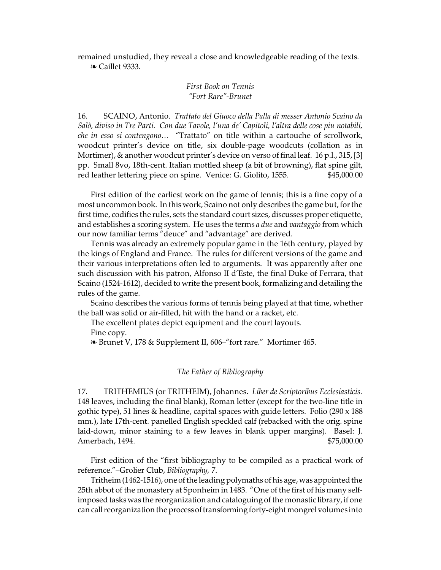remained unstudied, they reveal a close and knowledgeable reading of the texts. **EXEC** Caillet 9333.

# *First Book on Tennis "Fort Rare"-Brunet*

16. SCAINO, Antonio. *Trattato del Giuoco della Palla di messer Antonio Scaino da Salò, diviso in Tre Parti. Con due Tavole, l'una de' Capitoli, l'altra delle cose piu notabili, che in esso si contengono…* "Trattato" on title within a cartouche of scrollwork, woodcut printer's device on title, six double-page woodcuts (collation as in Mortimer), & another woodcut printer's device on verso of final leaf. 16 p.l., 315, [3] pp. Small 8vo, 18th-cent. Italian mottled sheep (a bit of browning), flat spine gilt, red leather lettering piece on spine. Venice: G. Giolito, 1555. \$45,000.00

First edition of the earliest work on the game of tennis; this is a fine copy of a most uncommon book. In this work, Scaino not only describes the game but, for the first time, codifies the rules, sets the standard court sizes, discusses proper etiquette, and establishes a scoring system. He uses the terms *a due* and *vantaggio* from which our now familiar terms "deuce" and "advantage" are derived.

Tennis was already an extremely popular game in the 16th century, played by the kings of England and France. The rules for different versions of the game and their various interpretations often led to arguments. It was apparently after one such discussion with his patron, Alfonso II d'Este, the final Duke of Ferrara, that Scaino (1524-1612), decided to write the present book, formalizing and detailing the rules of the game.

Scaino describes the various forms of tennis being played at that time, whether the ball was solid or air-filled, hit with the hand or a racket, etc.

The excellent plates depict equipment and the court layouts. Fine copy.

**EXECUTE:** 8 & Supplement II, 606–"fort rare." Mortimer 465.

# *The Father of Bibliography*

17. TRITHEMIUS (or TRITHEIM), Johannes. *Liber de Scriptoribus Ecclesiasticis.* 148 leaves, including the final blank), Roman letter (except for the two-line title in gothic type), 51 lines & headline, capital spaces with guide letters. Folio (290 x 188 mm.), late 17th-cent. panelled English speckled calf (rebacked with the orig. spine laid-down, minor staining to a few leaves in blank upper margins). Basel: J. Amerbach, 1494. \$75,000.00

First edition of the "first bibliography to be compiled as a practical work of reference."–Grolier Club, *Bibliography,* 7.

Tritheim (1462-1516), one of the leading polymaths of his age, was appointed the 25th abbot of the monastery at Sponheim in 1483. "One of the first of his many selfimposed tasks was the reorganization and cataloguing of the monastic library, if one can call reorganization the process of transforming forty-eight mongrel volumes into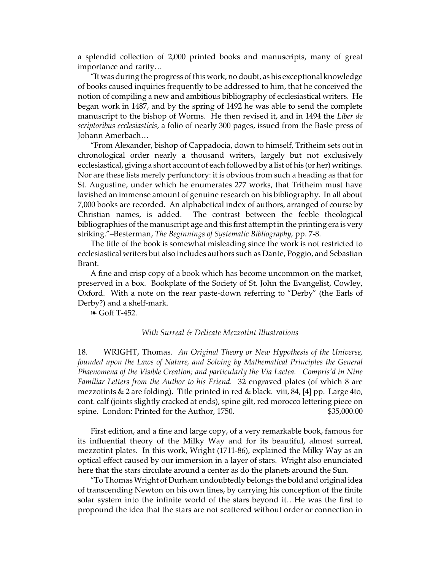a splendid collection of 2,000 printed books and manuscripts, many of great importance and rarity…

"It was during the progress of this work, no doubt, as his exceptional knowledge of books caused inquiries frequently to be addressed to him, that he conceived the notion of compiling a new and ambitious bibliography of ecclesiastical writers. He began work in 1487, and by the spring of 1492 he was able to send the complete manuscript to the bishop of Worms. He then revised it, and in 1494 the *Liber de scriptoribus ecclesiasticis*, a folio of nearly 300 pages, issued from the Basle press of Johann Amerbach…

"From Alexander, bishop of Cappadocia, down to himself, Tritheim sets out in chronological order nearly a thousand writers, largely but not exclusively ecclesiastical, giving a short account of each followed by a list of his (or her) writings. Nor are these lists merely perfunctory: it is obvious from such a heading as that for St. Augustine, under which he enumerates 277 works, that Tritheim must have lavished an immense amount of genuine research on his bibliography. In all about 7,000 books are recorded. An alphabetical index of authors, arranged of course by Christian names, is added. The contrast between the feeble theological bibliographies of the manuscript age and this first attempt in the printing era is very striking."–Besterman, *The Beginnings of Systematic Bibliography,* pp. 7-8.

The title of the book is somewhat misleading since the work is not restricted to ecclesiastical writers but also includes authors such as Dante, Poggio, and Sebastian Brant.

A fine and crisp copy of a book which has become uncommon on the market, preserved in a box. Bookplate of the Society of St. John the Evangelist, Cowley, Oxford. With a note on the rear paste-down referring to "Derby" (the Earls of Derby?) and a shelf-mark.

 $\in$  Goff T-452.

### *With Surreal & Delicate Mezzotint Illustrations*

18. WRIGHT, Thomas. *An Original Theory or New Hypothesis of the Universe, founded upon the Laws of Nature, and Solving by Mathematical Principles the General Phaenomena of the Visible Creation; and particularly the Via Lactea. Compris'd in Nine Familiar Letters from the Author to his Friend.* 32 engraved plates (of which 8 are mezzotints & 2 are folding). Title printed in red & black. viii, 84, [4] pp. Large 4to, cont. calf (joints slightly cracked at ends), spine gilt, red morocco lettering piece on spine. London: Printed for the Author, 1750. \$35,000.00

First edition, and a fine and large copy, of a very remarkable book, famous for its influential theory of the Milky Way and for its beautiful, almost surreal, mezzotint plates. In this work, Wright (1711-86), explained the Milky Way as an optical effect caused by our immersion in a layer of stars. Wright also enunciated here that the stars circulate around a center as do the planets around the Sun.

"To Thomas Wright of Durham undoubtedly belongs the bold and original idea of transcending Newton on his own lines, by carrying his conception of the finite solar system into the infinite world of the stars beyond it…He was the first to propound the idea that the stars are not scattered without order or connection in